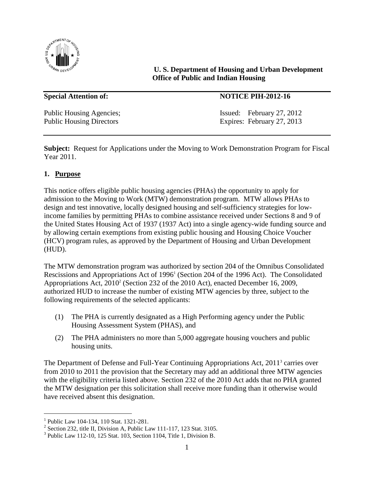

**U. S. Department of Housing and Urban Development Office of Public and Indian Housing**

#### **Special Attention of: NOTICE PIH-2012-16**

Public Housing Agencies; Issued: February 27, 2012 Public Housing Directors Expires: February 27, 2013

**Subject:** Request for Applications under the Moving to Work Demonstration Program for Fiscal Year 2011.

#### **1. Purpose**

This notice offers eligible public housing agencies (PHAs) the opportunity to apply for admission to the Moving to Work (MTW) demonstration program. MTW allows PHAs to design and test innovative, locally designed housing and self-sufficiency strategies for lowincome families by permitting PHAs to combine assistance received under Sections 8 and 9 of the United States Housing Act of 1937 (1937 Act) into a single agency-wide funding source and by allowing certain exemptions from existing public housing and Housing Choice Voucher (HCV) program rules, as approved by the Department of Housing and Urban Development (HUD).

The MTW demonstration program was authorized by section 204 of the Omnibus Consolidated Rescissions and Appropriations Act of 1996<sup>1</sup> (Section 204 of the 1996 Act). The Consolidated Appropriations Act, 2010<sup>2</sup> (Section 232 of the 2010 Act), enacted December 16, 2009, authorized HUD to increase the number of existing MTW agencies by three, subject to the following requirements of the selected applicants:

- (1) The PHA is currently designated as a High Performing agency under the Public Housing Assessment System (PHAS), and
- (2) The PHA administers no more than 5,000 aggregate housing vouchers and public housing units.

The Department of Defense and Full-Year Continuing Appropriations Act, 2011<sup>3</sup> carries over from 2010 to 2011 the provision that the Secretary may add an additional three MTW agencies with the eligibility criteria listed above. Section 232 of the 2010 Act adds that no PHA granted the MTW designation per this solicitation shall receive more funding than it otherwise would have received absent this designation.

L,

<sup>1</sup> Public Law 104-134, 110 Stat. 1321-281.

 $2^2$  Section 232, title II, Division A, Public Law 111-117, 123 Stat. 3105.

 $3$  Public Law 112-10, 125 Stat. 103, Section 1104, Title 1, Division B.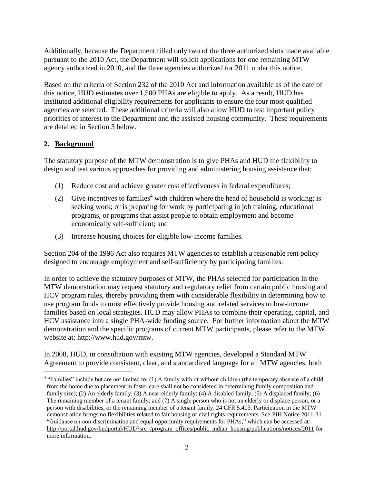Additionally, because the Department filled only two of the three authorized slots made available pursuant to the 2010 Act, the Department will solicit applications for one remaining MTW agency authorized in 2010, and the three agencies authorized for 2011 under this notice.

Based on the criteria of Section 232 of the 2010 Act and information available as of the date of this notice, HUD estimates over 1,500 PHAs are eligible to apply. As a result, HUD has instituted additional eligibility requirements for applicants to ensure the four most qualified agencies are selected. These additional criteria will also allow HUD to test important policy priorities of interest to the Department and the assisted housing community. These requirements are detailed in Section 3 below.

#### **2. Background**

The statutory purpose of the MTW demonstration is to give PHAs and HUD the flexibility to design and test various approaches for providing and administering housing assistance that:

- (1) Reduce cost and achieve greater cost effectiveness in federal expenditures;
- (2) Give incentives to families<sup>4</sup> with children where the head of household is working; is seeking work; or is preparing for work by participating in job training, educational programs, or programs that assist people to obtain employment and become economically self-sufficient; and
- (3) Increase housing choices for eligible low-income families.

Section 204 of the 1996 Act also requires MTW agencies to establish a reasonable rent policy designed to encourage employment and self-sufficiency by participating families.

In order to achieve the statutory purposes of MTW, the PHAs selected for participation in the MTW demonstration may request statutory and regulatory relief from certain public housing and HCV program rules, thereby providing them with considerable flexibility in determining how to use program funds to most effectively provide housing and related services to low-income families based on local strategies. HUD may allow PHAs to combine their operating, capital, and HCV assistance into a single PHA-wide funding source. For further information about the MTW demonstration and the specific programs of current MTW participants, please refer to the MTW website at: [http://www.hud.gov/mtw.](http://www.hud.gov/mtw)

In 2008, HUD, in consultation with existing MTW agencies, developed a Standard MTW Agreement to provide consistent, clear, and standardized language for all MTW agencies, both L,

<sup>&</sup>lt;sup>4</sup> "Families" include but are not limited to: (1) A family with or without children (the temporary absence of a child from the home due to placement in foster care shall not be considered in determining family composition and family size); (2) An elderly family; (3) A near-elderly family; (4) A disabled family; (5) A displaced family; (6) The remaining member of a tenant family; and (7) A single person who is not an elderly or displace person, or a person with disabilities, or the remaining member of a tenant family. 24 CFR 5.403. Participation in the MTW demonstration brings no flexibilities related to fair housing or civil rights requirements. See PIH Notice 2011-31 "Guidance on non-discrimination and equal opportunity requirements for PHAs," which can be accessed at: [http://portal.hud.gov/hudportal/HUD?src=/program\\_offices/public\\_indian\\_housing/publications/notices/2011](http://portal.hud.gov/hudportal/HUD?src=/program_offices/public_indian_housing/publications/notices/2011) for more information.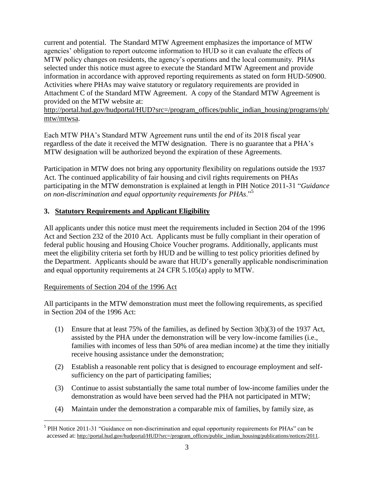current and potential. The Standard MTW Agreement emphasizes the importance of MTW agencies" obligation to report outcome information to HUD so it can evaluate the effects of MTW policy changes on residents, the agency"s operations and the local community. PHAs selected under this notice must agree to execute the Standard MTW Agreement and provide information in accordance with approved reporting requirements as stated on form HUD-50900. Activities where PHAs may waive statutory or regulatory requirements are provided in Attachment C of the Standard MTW Agreement. A copy of the Standard MTW Agreement is provided on the MTW website at:

[http://portal.hud.gov/hudportal/HUD?src=/program\\_offices/public\\_indian\\_housing/programs/ph/](http://portal.hud.gov/hudportal/HUD?src=/program_offices/public_indian_housing/programs/ph/mtw/mtwsa) [mtw/mtwsa.](http://portal.hud.gov/hudportal/HUD?src=/program_offices/public_indian_housing/programs/ph/mtw/mtwsa)

Each MTW PHA"s Standard MTW Agreement runs until the end of its 2018 fiscal year regardless of the date it received the MTW designation. There is no guarantee that a PHA"s MTW designation will be authorized beyond the expiration of these Agreements.

Participation in MTW does not bring any opportunity flexibility on regulations outside the 1937 Act. The continued applicability of fair housing and civil rights requirements on PHAs participating in the MTW demonstration is explained at length in PIH Notice 2011-31 "*Guidance on non-discrimination and equal opportunity requirements for PHAs*."<sup>5</sup>

#### **3. Statutory Requirements and Applicant Eligibility**

All applicants under this notice must meet the requirements included in Section 204 of the 1996 Act and Section 232 of the 2010 Act. Applicants must be fully compliant in their operation of federal public housing and Housing Choice Voucher programs. Additionally, applicants must meet the eligibility criteria set forth by HUD and be willing to test policy priorities defined by the Department. Applicants should be aware that HUD"s generally applicable nondiscrimination and equal opportunity requirements at 24 CFR 5.105(a) apply to MTW.

#### Requirements of Section 204 of the 1996 Act

<u>.</u>

All participants in the MTW demonstration must meet the following requirements, as specified in Section 204 of the 1996 Act:

- (1) Ensure that at least 75% of the families, as defined by Section 3(b)(3) of the 1937 Act, assisted by the PHA under the demonstration will be very low-income families (i.e., families with incomes of less than 50% of area median income) at the time they initially receive housing assistance under the demonstration;
- (2) Establish a reasonable rent policy that is designed to encourage employment and selfsufficiency on the part of participating families;
- (3) Continue to assist substantially the same total number of low-income families under the demonstration as would have been served had the PHA not participated in MTW;
- (4) Maintain under the demonstration a comparable mix of families, by family size, as

<sup>&</sup>lt;sup>5</sup> PIH Notice 2011-31 "Guidance on non-discrimination and equal opportunity requirements for PHAs" can be accessed at: http://portal.hud.gov/hudportal/HUD?src=/program\_offices/public\_indian\_housing/publications/notices/2011.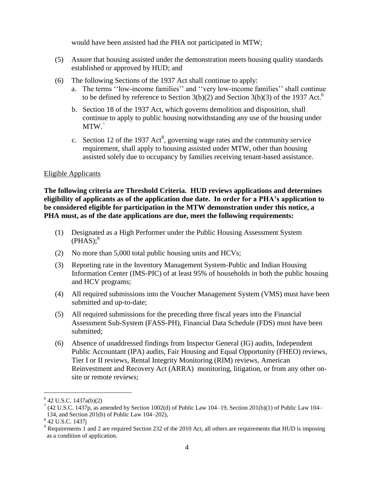would have been assisted had the PHA not participated in MTW;

- (5) Assure that housing assisted under the demonstration meets housing quality standards established or approved by HUD; and
- (6) The following Sections of the 1937 Act shall continue to apply:
	- a. The terms "low-income families" and "very low-income families" shall continue to be defined by reference to Section  $3(b)(2)$  and Section  $3(b)(3)$  of the 1937 Act.<sup>6</sup>
	- b. Section 18 of the 1937 Act, which governs demolition and disposition, shall continue to apply to public housing notwithstanding any use of the housing under MTW.<sup>7</sup>
	- c. Section 12 of the 1937 Act<sup>8</sup>, governing wage rates and the community service requirement, shall apply to housing assisted under MTW, other than housing assisted solely due to occupancy by families receiving tenant-based assistance.

#### Eligible Applicants

**The following criteria are Threshold Criteria. HUD reviews applications and determines eligibility of applicants as of the application due date. In order for a PHA's application to be considered eligible for participation in the MTW demonstration under this notice, a PHA must, as of the date applications are due, meet the following requirements:**

- (1) Designated as a High Performer under the Public Housing Assessment System  $(PHAS);^9$
- (2) No more than 5,000 total public housing units and HCVs;
- (3) Reporting rate in the Inventory Management System-Public and Indian Housing Information Center (IMS-PIC) of at least 95% of households in both the public housing and HCV programs;
- (4) All required submissions into the Voucher Management System (VMS) must have been submitted and up-to-date;
- (5) All required submissions for the preceding three fiscal years into the Financial Assessment Sub-System (FASS-PH), Financial Data Schedule (FDS) must have been submitted;
- (6) Absence of unaddressed findings from Inspector General (IG) audits, Independent Public Accountant (IPA) audits, Fair Housing and Equal Opportunity (FHEO) reviews, Tier I or II reviews, Rental Integrity Monitoring (RIM) reviews, American Reinvestment and Recovery Act (ARRA) monitoring, litigation, or from any other onsite or remote reviews;

L,

 $642$  U.S.C. 1437a(b)(2)

<sup>&</sup>lt;sup>7</sup> (42 U.S.C. 1437p, as amended by Section 1002(d) of Public Law 104–19, Section 201(b)(1) of Public Law 104– 134, and Section 201(b) of Public Law 104–202),

<sup>&</sup>lt;sup>8</sup> 42 U.S.C. 1437j

<sup>9</sup> Requirements 1 and 2 are required Section 232 of the 2010 Act, all others are requirements that HUD is imposing as a condition of application.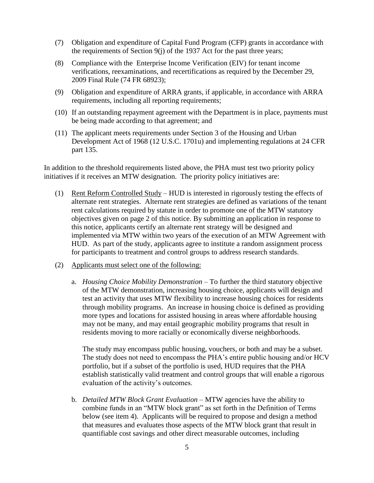- (7) Obligation and expenditure of Capital Fund Program (CFP) grants in accordance with the requirements of Section 9(j) of the 1937 Act for the past three years;
- (8) Compliance with the Enterprise Income Verification (EIV) for tenant income verifications, reexaminations, and recertifications as required by the December 29, 2009 Final Rule (74 FR 68923);
- (9) Obligation and expenditure of ARRA grants, if applicable, in accordance with ARRA requirements, including all reporting requirements;
- (10) If an outstanding repayment agreement with the Department is in place, payments must be being made according to that agreement; and
- (11) The applicant meets requirements under Section 3 of the Housing and Urban Development Act of 1968 (12 U.S.C. 1701u) and implementing regulations at 24 CFR part 135.

In addition to the threshold requirements listed above, the PHA must test two priority policy initiatives if it receives an MTW designation. The priority policy initiatives are:

- (1) Rent Reform Controlled Study HUD is interested in rigorously testing the effects of alternate rent strategies. Alternate rent strategies are defined as variations of the tenant rent calculations required by statute in order to promote one of the MTW statutory objectives given on page 2 of this notice. By submitting an application in response to this notice, applicants certify an alternate rent strategy will be designed and implemented via MTW within two years of the execution of an MTW Agreement with HUD. As part of the study, applicants agree to institute a random assignment process for participants to treatment and control groups to address research standards.
- (2) Applicants must select one of the following:
	- a. *Housing Choice Mobility Demonstration* To further the third statutory objective of the MTW demonstration, increasing housing choice, applicants will design and test an activity that uses MTW flexibility to increase housing choices for residents through mobility programs. An increase in housing choice is defined as providing more types and locations for assisted housing in areas where affordable housing may not be many, and may entail geographic mobility programs that result in residents moving to more racially or economically diverse neighborhoods.

The study may encompass public housing, vouchers, or both and may be a subset. The study does not need to encompass the PHA"s entire public housing and/or HCV portfolio, but if a subset of the portfolio is used, HUD requires that the PHA establish statistically valid treatment and control groups that will enable a rigorous evaluation of the activity"s outcomes.

b. *Detailed MTW Block Grant Evaluation* – MTW agencies have the ability to combine funds in an "MTW block grant" as set forth in the Definition of Terms below (see item 4). Applicants will be required to propose and design a method that measures and evaluates those aspects of the MTW block grant that result in quantifiable cost savings and other direct measurable outcomes, including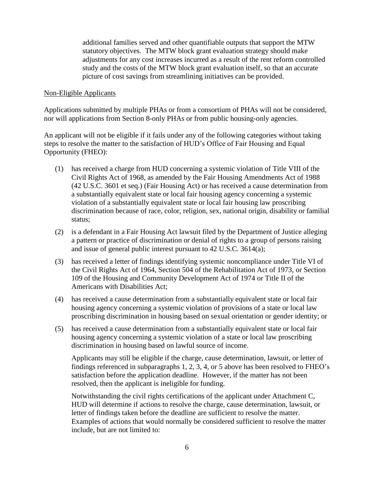additional families served and other quantifiable outputs that support the MTW statutory objectives. The MTW block grant evaluation strategy should make adjustments for any cost increases incurred as a result of the rent reform controlled study and the costs of the MTW block grant evaluation itself, so that an accurate picture of cost savings from streamlining initiatives can be provided.

#### Non-Eligible Applicants

Applications submitted by multiple PHAs or from a consortium of PHAs will not be considered, nor will applications from Section 8-only PHAs or from public housing-only agencies.

An applicant will not be eligible if it fails under any of the following categories without taking steps to resolve the matter to the satisfaction of HUD"s Office of Fair Housing and Equal Opportunity (FHEO):

- (1) has received a charge from HUD concerning a systemic violation of Title VIII of the Civil Rights Act of 1968, as amended by the Fair Housing Amendments Act of 1988 (42 U.S.C. 3601 et seq.) (Fair Housing Act) or has received a cause determination from a substantially equivalent state or local fair housing agency concerning a systemic violation of a substantially equivalent state or local fair housing law proscribing discrimination because of race, color, religion, sex, national origin, disability or familial status;
- (2) is a defendant in a Fair Housing Act lawsuit filed by the Department of Justice alleging a pattern or practice of discrimination or denial of rights to a group of persons raising and issue of general public interest pursuant to 42 U.S.C. 3614(a);
- (3) has received a letter of findings identifying systemic noncompliance under Title VI of the Civil Rights Act of 1964, Section 504 of the Rehabilitation Act of 1973, or Section 109 of the Housing and Community Development Act of 1974 or Title II of the Americans with Disabilities Act;
- (4) has received a cause determination from a substantially equivalent state or local fair housing agency concerning a systemic violation of provisions of a state or local law proscribing discrimination in housing based on sexual orientation or gender identity; or
- (5) has received a cause determination from a substantially equivalent state or local fair housing agency concerning a systemic violation of a state or local law proscribing discrimination in housing based on lawful source of income.

Applicants may still be eligible if the charge, cause determination, lawsuit, or letter of findings referenced in subparagraphs 1, 2, 3, 4, or 5 above has been resolved to FHEO"s satisfaction before the application deadline. However, if the matter has not been resolved, then the applicant is ineligible for funding.

Notwithstanding the civil rights certifications of the applicant under Attachment C, HUD will determine if actions to resolve the charge, cause determination, lawsuit, or letter of findings taken before the deadline are sufficient to resolve the matter. Examples of actions that would normally be considered sufficient to resolve the matter include, but are not limited to: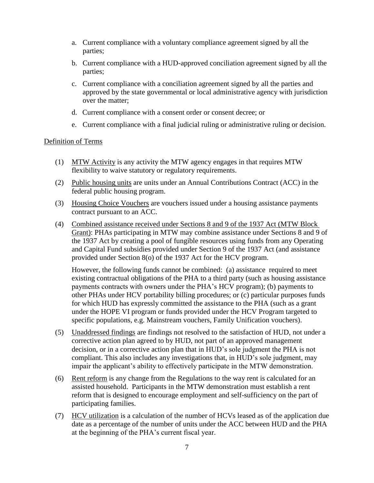- a. Current compliance with a voluntary compliance agreement signed by all the parties;
- b. Current compliance with a HUD-approved conciliation agreement signed by all the parties;
- c. Current compliance with a conciliation agreement signed by all the parties and approved by the state governmental or local administrative agency with jurisdiction over the matter;
- d. Current compliance with a consent order or consent decree; or
- e. Current compliance with a final judicial ruling or administrative ruling or decision.

#### Definition of Terms

- (1) MTW Activity is any activity the MTW agency engages in that requires MTW flexibility to waive statutory or regulatory requirements.
- (2) Public housing units are units under an Annual Contributions Contract (ACC) in the federal public housing program.
- (3) Housing Choice Vouchers are vouchers issued under a housing assistance payments contract pursuant to an ACC.
- (4) Combined assistance received under Sections 8 and 9 of the 1937 Act (MTW Block Grant): PHAs participating in MTW may combine assistance under Sections 8 and 9 of the 1937 Act by creating a pool of fungible resources using funds from any Operating and Capital Fund subsidies provided under Section 9 of the 1937 Act (and assistance provided under Section 8(o) of the 1937 Act for the HCV program.

However, the following funds cannot be combined: (a) assistance required to meet existing contractual obligations of the PHA to a third party (such as housing assistance payments contracts with owners under the PHA"s HCV program); (b) payments to other PHAs under HCV portability billing procedures; or (c) particular purposes funds for which HUD has expressly committed the assistance to the PHA (such as a grant under the HOPE VI program or funds provided under the HCV Program targeted to specific populations, e.g. Mainstream vouchers, Family Unification vouchers).

- (5) Unaddressed findings are findings not resolved to the satisfaction of HUD, not under a corrective action plan agreed to by HUD, not part of an approved management decision, or in a corrective action plan that in HUD"s sole judgment the PHA is not compliant. This also includes any investigations that, in HUD"s sole judgment, may impair the applicant's ability to effectively participate in the MTW demonstration.
- (6) Rent reform is any change from the Regulations to the way rent is calculated for an assisted household. Participants in the MTW demonstration must establish a rent reform that is designed to encourage employment and self-sufficiency on the part of participating families.
- (7) HCV utilization is a calculation of the number of HCVs leased as of the application due date as a percentage of the number of units under the ACC between HUD and the PHA at the beginning of the PHA"s current fiscal year.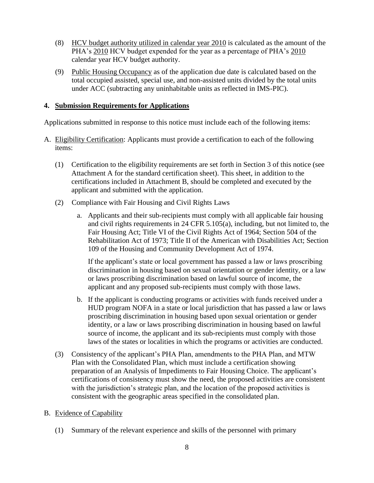- (8) HCV budget authority utilized in calendar year 2010 is calculated as the amount of the PHA's 2010 HCV budget expended for the year as a percentage of PHA's 2010 calendar year HCV budget authority.
- (9) Public Housing Occupancy as of the application due date is calculated based on the total occupied assisted, special use, and non-assisted units divided by the total units under ACC (subtracting any uninhabitable units as reflected in IMS-PIC).

#### **4. Submission Requirements for Applications**

Applications submitted in response to this notice must include each of the following items:

- A. Eligibility Certification: Applicants must provide a certification to each of the following items:
	- (1) Certification to the eligibility requirements are set forth in Section 3 of this notice (see Attachment A for the standard certification sheet). This sheet, in addition to the certifications included in Attachment B, should be completed and executed by the applicant and submitted with the application.
	- (2) Compliance with Fair Housing and Civil Rights Laws
		- a. Applicants and their sub-recipients must comply with all applicable fair housing and civil rights requirements in 24 CFR 5.105(a), including, but not limited to, the Fair Housing Act; Title VI of the Civil Rights Act of 1964; Section 504 of the Rehabilitation Act of 1973; Title II of the American with Disabilities Act; Section 109 of the Housing and Community Development Act of 1974.

If the applicant's state or local government has passed a law or laws proscribing discrimination in housing based on sexual orientation or gender identity, or a law or laws proscribing discrimination based on lawful source of income, the applicant and any proposed sub-recipients must comply with those laws.

- b. If the applicant is conducting programs or activities with funds received under a HUD program NOFA in a state or local jurisdiction that has passed a law or laws proscribing discrimination in housing based upon sexual orientation or gender identity, or a law or laws proscribing discrimination in housing based on lawful source of income, the applicant and its sub-recipients must comply with those laws of the states or localities in which the programs or activities are conducted.
- (3) Consistency of the applicant"s PHA Plan, amendments to the PHA Plan, and MTW Plan with the Consolidated Plan, which must include a certification showing preparation of an Analysis of Impediments to Fair Housing Choice. The applicant"s certifications of consistency must show the need, the proposed activities are consistent with the jurisdiction's strategic plan, and the location of the proposed activities is consistent with the geographic areas specified in the consolidated plan.

#### B. Evidence of Capability

(1) Summary of the relevant experience and skills of the personnel with primary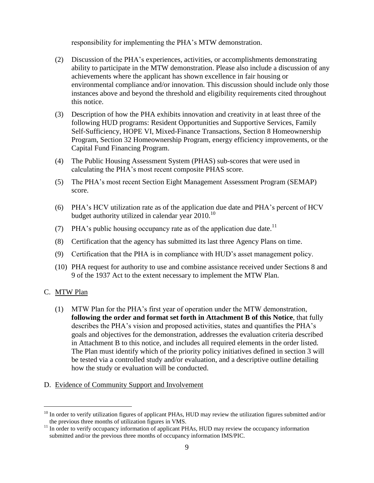responsibility for implementing the PHA"s MTW demonstration.

- (2) Discussion of the PHA"s experiences, activities, or accomplishments demonstrating ability to participate in the MTW demonstration. Please also include a discussion of any achievements where the applicant has shown excellence in fair housing or environmental compliance and/or innovation. This discussion should include only those instances above and beyond the threshold and eligibility requirements cited throughout this notice.
- (3) Description of how the PHA exhibits innovation and creativity in at least three of the following HUD programs: Resident Opportunities and Supportive Services, Family Self-Sufficiency, HOPE VI, Mixed-Finance Transactions, Section 8 Homeownership Program, Section 32 Homeownership Program, energy efficiency improvements, or the Capital Fund Financing Program.
- (4) The Public Housing Assessment System (PHAS) sub-scores that were used in calculating the PHA"s most recent composite PHAS score.
- (5) The PHA"s most recent Section Eight Management Assessment Program (SEMAP) score.
- (6) PHA"s HCV utilization rate as of the application due date and PHA"s percent of HCV budget authority utilized in calendar year 2010.<sup>10</sup>
- (7) PHA's public housing occupancy rate as of the application due date.<sup>11</sup>
- (8) Certification that the agency has submitted its last three Agency Plans on time.
- (9) Certification that the PHA is in compliance with HUD"s asset management policy.
- (10) PHA request for authority to use and combine assistance received under Sections 8 and 9 of the 1937 Act to the extent necessary to implement the MTW Plan.

#### C. MTW Plan

<u>.</u>

(1) MTW Plan for the PHA"s first year of operation under the MTW demonstration, **following the order and format set forth in Attachment B of this Notice**, that fully describes the PHA's vision and proposed activities, states and quantifies the PHA's goals and objectives for the demonstration, addresses the evaluation criteria described in Attachment B to this notice, and includes all required elements in the order listed. The Plan must identify which of the priority policy initiatives defined in section 3 will be tested via a controlled study and/or evaluation, and a descriptive outline detailing how the study or evaluation will be conducted.

#### D. Evidence of Community Support and Involvement

 $10$  In order to verify utilization figures of applicant PHAs, HUD may review the utilization figures submitted and/or the previous three months of utilization figures in VMS.

 $11$  In order to verify occupancy information of applicant PHAs, HUD may review the occupancy information submitted and/or the previous three months of occupancy information IMS/PIC.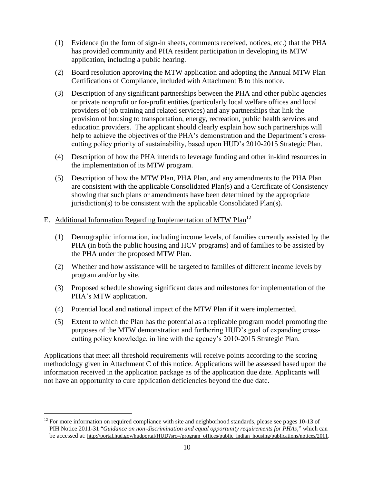- (1) Evidence (in the form of sign-in sheets, comments received, notices, etc.) that the PHA has provided community and PHA resident participation in developing its MTW application, including a public hearing.
- (2) Board resolution approving the MTW application and adopting the Annual MTW Plan Certifications of Compliance, included with Attachment B to this notice.
- (3) Description of any significant partnerships between the PHA and other public agencies or private nonprofit or for-profit entities (particularly local welfare offices and local providers of job training and related services) and any partnerships that link the provision of housing to transportation, energy, recreation, public health services and education providers. The applicant should clearly explain how such partnerships will help to achieve the objectives of the PHA's demonstration and the Department's crosscutting policy priority of sustainability, based upon HUD"s 2010-2015 Strategic Plan.
- (4) Description of how the PHA intends to leverage funding and other in-kind resources in the implementation of its MTW program.
- (5) Description of how the MTW Plan, PHA Plan, and any amendments to the PHA Plan are consistent with the applicable Consolidated Plan(s) and a Certificate of Consistency showing that such plans or amendments have been determined by the appropriate jurisdiction(s) to be consistent with the applicable Consolidated Plan(s).

#### E. Additional Information Regarding Implementation of MTW Plan<sup>12</sup>

L,

- (1) Demographic information, including income levels, of families currently assisted by the PHA (in both the public housing and HCV programs) and of families to be assisted by the PHA under the proposed MTW Plan.
- (2) Whether and how assistance will be targeted to families of different income levels by program and/or by site.
- (3) Proposed schedule showing significant dates and milestones for implementation of the PHA's MTW application.
- (4) Potential local and national impact of the MTW Plan if it were implemented.
- (5) Extent to which the Plan has the potential as a replicable program model promoting the purposes of the MTW demonstration and furthering HUD"s goal of expanding crosscutting policy knowledge, in line with the agency"s 2010-2015 Strategic Plan.

Applications that meet all threshold requirements will receive points according to the scoring methodology given in Attachment C of this notice. Applications will be assessed based upon the information received in the application package as of the application due date. Applicants will not have an opportunity to cure application deficiencies beyond the due date.

 $12$  For more information on required compliance with site and neighborhood standards, please see pages 10-13 of PIH Notice 2011-31 "*Guidance on non-discrimination and equal opportunity requirements for PHAs*," which can be accessed at: http://portal.hud.gov/hudportal/HUD?src=/program\_offices/public\_indian\_housing/publications/notices/2011.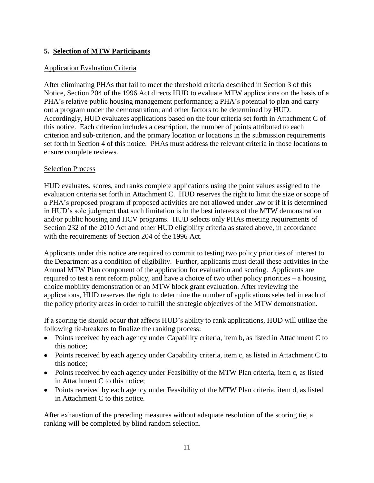#### **5. Selection of MTW Participants**

#### Application Evaluation Criteria

After eliminating PHAs that fail to meet the threshold criteria described in Section 3 of this Notice, Section 204 of the 1996 Act directs HUD to evaluate MTW applications on the basis of a PHA"s relative public housing management performance; a PHA"s potential to plan and carry out a program under the demonstration; and other factors to be determined by HUD. Accordingly, HUD evaluates applications based on the four criteria set forth in Attachment C of this notice. Each criterion includes a description, the number of points attributed to each criterion and sub-criterion, and the primary location or locations in the submission requirements set forth in Section 4 of this notice. PHAs must address the relevant criteria in those locations to ensure complete reviews.

#### Selection Process

HUD evaluates, scores, and ranks complete applications using the point values assigned to the evaluation criteria set forth in Attachment C. HUD reserves the right to limit the size or scope of a PHA"s proposed program if proposed activities are not allowed under law or if it is determined in HUD"s sole judgment that such limitation is in the best interests of the MTW demonstration and/or public housing and HCV programs. HUD selects only PHAs meeting requirements of Section 232 of the 2010 Act and other HUD eligibility criteria as stated above, in accordance with the requirements of Section 204 of the 1996 Act.

Applicants under this notice are required to commit to testing two policy priorities of interest to the Department as a condition of eligibility. Further, applicants must detail these activities in the Annual MTW Plan component of the application for evaluation and scoring. Applicants are required to test a rent reform policy, and have a choice of two other policy priorities – a housing choice mobility demonstration or an MTW block grant evaluation. After reviewing the applications, HUD reserves the right to determine the number of applications selected in each of the policy priority areas in order to fulfill the strategic objectives of the MTW demonstration.

If a scoring tie should occur that affects HUD"s ability to rank applications, HUD will utilize the following tie-breakers to finalize the ranking process:

- Points received by each agency under Capability criteria, item b, as listed in Attachment C to this notice;
- Points received by each agency under Capability criteria, item c, as listed in Attachment C to this notice;
- Points received by each agency under Feasibility of the MTW Plan criteria, item c, as listed in Attachment C to this notice;
- Points received by each agency under Feasibility of the MTW Plan criteria, item d, as listed in Attachment C to this notice.

After exhaustion of the preceding measures without adequate resolution of the scoring tie, a ranking will be completed by blind random selection.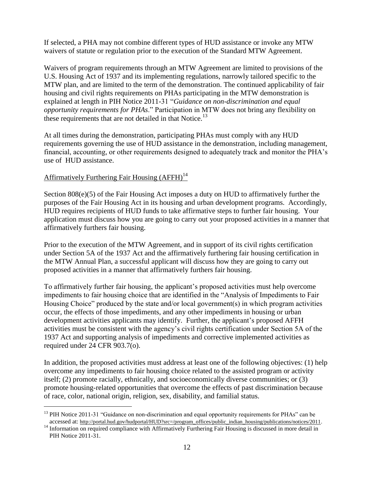If selected, a PHA may not combine different types of HUD assistance or invoke any MTW waivers of statute or regulation prior to the execution of the Standard MTW Agreement.

Waivers of program requirements through an MTW Agreement are limited to provisions of the U.S. Housing Act of 1937 and its implementing regulations, narrowly tailored specific to the MTW plan, and are limited to the term of the demonstration. The continued applicability of fair housing and civil rights requirements on PHAs participating in the MTW demonstration is explained at length in PIH Notice 2011-31 "*Guidance on non-discrimination and equal opportunity requirements for PHAs*." Participation in MTW does not bring any flexibility on these requirements that are not detailed in that Notice.<sup>13</sup>

At all times during the demonstration, participating PHAs must comply with any HUD requirements governing the use of HUD assistance in the demonstration, including management, financial, accounting, or other requirements designed to adequately track and monitor the PHA"s use of HUD assistance.

# Affirmatively Furthering Fair Housing  $(AFFH)<sup>14</sup>$

<u>.</u>

Section 808(e)(5) of the Fair Housing Act imposes a duty on HUD to affirmatively further the purposes of the Fair Housing Act in its housing and urban development programs. Accordingly, HUD requires recipients of HUD funds to take affirmative steps to further fair housing. Your application must discuss how you are going to carry out your proposed activities in a manner that affirmatively furthers fair housing.

Prior to the execution of the MTW Agreement, and in support of its civil rights certification under Section 5A of the 1937 Act and the affirmatively furthering fair housing certification in the MTW Annual Plan, a successful applicant will discuss how they are going to carry out proposed activities in a manner that affirmatively furthers fair housing.

To affirmatively further fair housing, the applicant's proposed activities must help overcome impediments to fair housing choice that are identified in the "Analysis of Impediments to Fair Housing Choice" produced by the state and/or local government(s) in which program activities occur, the effects of those impediments, and any other impediments in housing or urban development activities applicants may identify. Further, the applicant's proposed AFFH activities must be consistent with the agency"s civil rights certification under Section 5A of the 1937 Act and supporting analysis of impediments and corrective implemented activities as required under 24 CFR 903.7(o).

In addition, the proposed activities must address at least one of the following objectives: (1) help overcome any impediments to fair housing choice related to the assisted program or activity itself; (2) promote racially, ethnically, and socioeconomically diverse communities; or (3) promote housing-related opportunities that overcome the effects of past discrimination because of race, color, national origin, religion, sex, disability, and familial status.

 $<sup>13</sup>$  PIH Notice 2011-31 "Guidance on non-discrimination and equal opportunity requirements for PHAs" can be</sup> accessed at: http://portal.hud.gov/hudportal/HUD?src=/program\_offices/public\_indian\_housing/publications/notices/2011.

<sup>&</sup>lt;sup>14</sup> Information on required compliance with Affirmatively Furthering Fair Housing is discussed in more detail in PIH Notice 2011-31.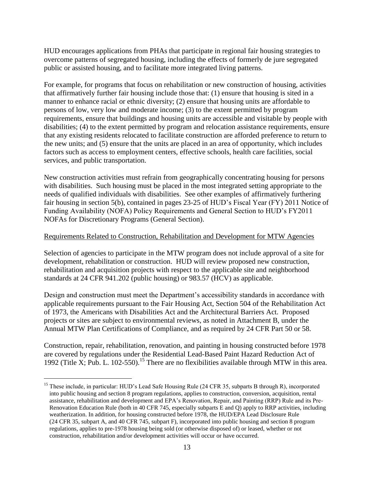HUD encourages applications from PHAs that participate in regional fair housing strategies to overcome patterns of segregated housing, including the effects of formerly de jure segregated public or assisted housing, and to facilitate more integrated living patterns.

For example, for programs that focus on rehabilitation or new construction of housing, activities that affirmatively further fair housing include those that: (1) ensure that housing is sited in a manner to enhance racial or ethnic diversity; (2) ensure that housing units are affordable to persons of low, very low and moderate income; (3) to the extent permitted by program requirements, ensure that buildings and housing units are accessible and visitable by people with disabilities; (4) to the extent permitted by program and relocation assistance requirements, ensure that any existing residents relocated to facilitate construction are afforded preference to return to the new units; and (5) ensure that the units are placed in an area of opportunity, which includes factors such as access to employment centers, effective schools, health care facilities, social services, and public transportation.

New construction activities must refrain from geographically concentrating housing for persons with disabilities. Such housing must be placed in the most integrated setting appropriate to the needs of qualified individuals with disabilities. See other examples of affirmatively furthering fair housing in section 5(b), contained in pages 23-25 of HUD"s Fiscal Year (FY) 2011 Notice of Funding Availability (NOFA) Policy Requirements and General Section to HUD"s FY2011 NOFAs for Discretionary Programs (General Section).

#### Requirements Related to Construction, Rehabilitation and Development for MTW Agencies

Selection of agencies to participate in the MTW program does not include approval of a site for development, rehabilitation or construction. HUD will review proposed new construction, rehabilitation and acquisition projects with respect to the applicable site and neighborhood standards at 24 CFR 941.202 (public housing) or 983.57 (HCV) as applicable.

Design and construction must meet the Department's accessibility standards in accordance with applicable requirements pursuant to the Fair Housing Act, Section 504 of the Rehabilitation Act of 1973, the Americans with Disabilities Act and the Architectural Barriers Act. Proposed projects or sites are subject to environmental reviews, as noted in Attachment B, under the Annual MTW Plan Certifications of Compliance, and as required by 24 CFR Part 50 or 58.

Construction, repair, rehabilitation, renovation, and painting in housing constructed before 1978 are covered by regulations under the Residential Lead-Based Paint Hazard Reduction Act of 1992 (Title X; Pub. L. 102-550). <sup>15</sup> There are no flexibilities available through MTW in this area.

<u>.</u>

<sup>&</sup>lt;sup>15</sup> These include, in particular: HUD's Lead Safe Housing Rule (24 CFR 35, subparts B through R), incorporated into public housing and section 8 program regulations, applies to construction, conversion, acquisition, rental assistance, rehabilitation and development and EPA"s Renovation, Repair, and Painting (RRP) Rule and its Pre-Renovation Education Rule (both in 40 CFR 745, especially subparts E and Q) apply to RRP activities, including weatherization. In addition, for housing constructed before 1978, the HUD/EPA Lead Disclosure Rule (24 CFR 35, subpart A, and 40 CFR 745, subpart F), incorporated into public housing and section 8 program regulations, applies to pre-1978 housing being sold (or otherwise disposed of) or leased, whether or not construction, rehabilitation and/or development activities will occur or have occurred.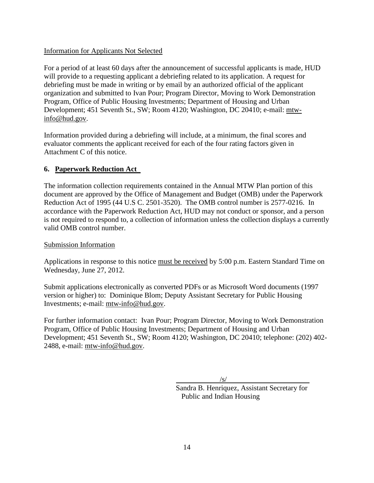#### Information for Applicants Not Selected

For a period of at least 60 days after the announcement of successful applicants is made, HUD will provide to a requesting applicant a debriefing related to its application. A request for debriefing must be made in writing or by email by an authorized official of the applicant organization and submitted to Ivan Pour; Program Director, Moving to Work Demonstration Program, Office of Public Housing Investments; Department of Housing and Urban Development; 451 Seventh St., SW; Room 4120; Washington, DC 20410; e-mail: [mtw](mailto:mtw-info@hud.gov)[info@hud.gov.](mailto:mtw-info@hud.gov)

Information provided during a debriefing will include, at a minimum, the final scores and evaluator comments the applicant received for each of the four rating factors given in Attachment C of this notice.

#### **6. Paperwork Reduction Act**

The information collection requirements contained in the Annual MTW Plan portion of this document are approved by the Office of Management and Budget (OMB) under the Paperwork Reduction Act of 1995 (44 U.S C. 2501-3520). The OMB control number is 2577-0216. In accordance with the Paperwork Reduction Act, HUD may not conduct or sponsor, and a person is not required to respond to, a collection of information unless the collection displays a currently valid OMB control number.

#### Submission Information

Applications in response to this notice must be received by 5:00 p.m. Eastern Standard Time on Wednesday, June 27, 2012.

Submit applications electronically as converted PDFs or as Microsoft Word documents (1997 version or higher) to: Dominique Blom; Deputy Assistant Secretary for Public Housing Investments; e-mail: [mtw-info@hud.gov.](mailto:mtw-info@hud.gov)

For further information contact: Ivan Pour; Program Director, Moving to Work Demonstration Program, Office of Public Housing Investments; Department of Housing and Urban Development; 451 Seventh St., SW; Room 4120; Washington, DC 20410; telephone: (202) 402- 2488, e-mail: [mtw-info@hud.gov.](mailto:mtw-info@hud.gov)

 $\sqrt{s/}$ 

Sandra B. Henriquez, Assistant Secretary for Public and Indian Housing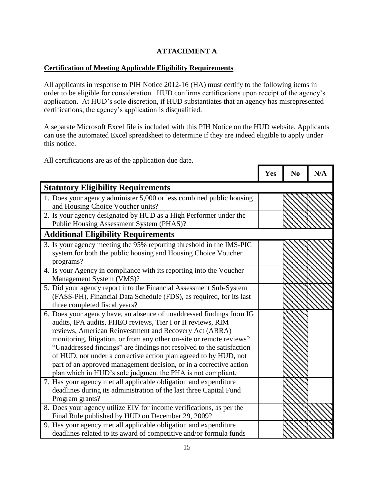# **ATTACHMENT A**

#### **Certification of Meeting Applicable Eligibility Requirements**

All applicants in response to PIH Notice 2012-16 (HA) must certify to the following items in order to be eligible for consideration. HUD confirms certifications upon receipt of the agency"s application. At HUD"s sole discretion, if HUD substantiates that an agency has misrepresented certifications, the agency"s application is disqualified.

A separate Microsoft Excel file is included with this PIH Notice on the HUD website. Applicants can use the automated Excel spreadsheet to determine if they are indeed eligible to apply under this notice.

٦

Т

Г

Г

All certifications are as of the application due date.

|                                                                                                                                                                                                                                                                                                                                                                                                                                                                                                                                                        | Yes | N <sub>0</sub> | N/A |
|--------------------------------------------------------------------------------------------------------------------------------------------------------------------------------------------------------------------------------------------------------------------------------------------------------------------------------------------------------------------------------------------------------------------------------------------------------------------------------------------------------------------------------------------------------|-----|----------------|-----|
| <b>Statutory Eligibility Requirements</b>                                                                                                                                                                                                                                                                                                                                                                                                                                                                                                              |     |                |     |
| 1. Does your agency administer 5,000 or less combined public housing<br>and Housing Choice Voucher units?                                                                                                                                                                                                                                                                                                                                                                                                                                              |     |                |     |
| 2. Is your agency designated by HUD as a High Performer under the<br>Public Housing Assessment System (PHAS)?                                                                                                                                                                                                                                                                                                                                                                                                                                          |     |                |     |
| <b>Additional Eligibility Requirements</b>                                                                                                                                                                                                                                                                                                                                                                                                                                                                                                             |     |                |     |
| 3. Is your agency meeting the 95% reporting threshold in the IMS-PIC<br>system for both the public housing and Housing Choice Voucher<br>programs?                                                                                                                                                                                                                                                                                                                                                                                                     |     |                |     |
| 4. Is your Agency in compliance with its reporting into the Voucher<br>Management System (VMS)?                                                                                                                                                                                                                                                                                                                                                                                                                                                        |     |                |     |
| 5. Did your agency report into the Financial Assessment Sub-System<br>(FASS-PH), Financial Data Schedule (FDS), as required, for its last<br>three completed fiscal years?                                                                                                                                                                                                                                                                                                                                                                             |     |                |     |
| 6. Does your agency have, an absence of unaddressed findings from IG<br>audits, IPA audits, FHEO reviews, Tier I or II reviews, RIM<br>reviews, American Reinvestment and Recovery Act (ARRA)<br>monitoring, litigation, or from any other on-site or remote reviews?<br>"Unaddressed findings" are findings not resolved to the satisfaction<br>of HUD, not under a corrective action plan agreed to by HUD, not<br>part of an approved management decision, or in a corrective action<br>plan which in HUD's sole judgment the PHA is not compliant. |     |                |     |
| 7. Has your agency met all applicable obligation and expenditure<br>deadlines during its administration of the last three Capital Fund<br>Program grants?                                                                                                                                                                                                                                                                                                                                                                                              |     |                |     |
| 8. Does your agency utilize EIV for income verifications, as per the<br>Final Rule published by HUD on December 29, 2009?                                                                                                                                                                                                                                                                                                                                                                                                                              |     |                |     |
| 9. Has your agency met all applicable obligation and expenditure<br>deadlines related to its award of competitive and/or formula funds                                                                                                                                                                                                                                                                                                                                                                                                                 |     |                |     |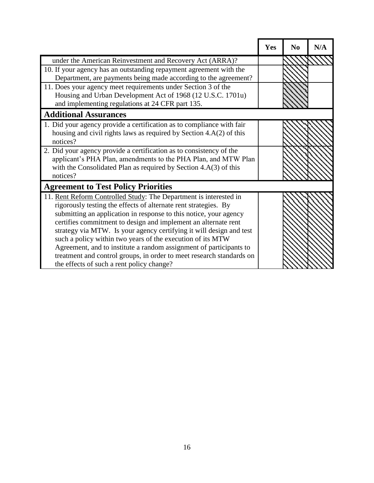|                                                                                                                                                                                                                                                                                                                                                                                                                                                                                                                                                                | Yes | N <sub>0</sub> | N/A |
|----------------------------------------------------------------------------------------------------------------------------------------------------------------------------------------------------------------------------------------------------------------------------------------------------------------------------------------------------------------------------------------------------------------------------------------------------------------------------------------------------------------------------------------------------------------|-----|----------------|-----|
| under the American Reinvestment and Recovery Act (ARRA)?                                                                                                                                                                                                                                                                                                                                                                                                                                                                                                       |     |                |     |
| 10. If your agency has an outstanding repayment agreement with the<br>Department, are payments being made according to the agreement?                                                                                                                                                                                                                                                                                                                                                                                                                          |     |                |     |
| 11. Does your agency meet requirements under Section 3 of the<br>Housing and Urban Development Act of 1968 (12 U.S.C. 1701u)<br>and implementing regulations at 24 CFR part 135.                                                                                                                                                                                                                                                                                                                                                                               |     |                |     |
| <b>Additional Assurances</b>                                                                                                                                                                                                                                                                                                                                                                                                                                                                                                                                   |     |                |     |
| 1. Did your agency provide a certification as to compliance with fair<br>housing and civil rights laws as required by Section 4.A(2) of this<br>notices?                                                                                                                                                                                                                                                                                                                                                                                                       |     |                |     |
| 2. Did your agency provide a certification as to consistency of the<br>applicant's PHA Plan, amendments to the PHA Plan, and MTW Plan<br>with the Consolidated Plan as required by Section $4.A(3)$ of this<br>notices?                                                                                                                                                                                                                                                                                                                                        |     |                |     |
| <b>Agreement to Test Policy Priorities</b>                                                                                                                                                                                                                                                                                                                                                                                                                                                                                                                     |     |                |     |
| 11. Rent Reform Controlled Study: The Department is interested in<br>rigorously testing the effects of alternate rent strategies. By<br>submitting an application in response to this notice, your agency<br>certifies commitment to design and implement an alternate rent<br>strategy via MTW. Is your agency certifying it will design and test<br>such a policy within two years of the execution of its MTW<br>Agreement, and to institute a random assignment of participants to<br>treatment and control groups, in order to meet research standards on |     |                |     |
| the effects of such a rent policy change?                                                                                                                                                                                                                                                                                                                                                                                                                                                                                                                      |     |                |     |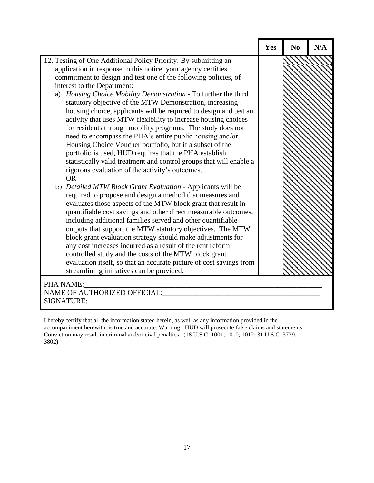|                                                                                                                           | Yes | N <sub>0</sub> | N/A |
|---------------------------------------------------------------------------------------------------------------------------|-----|----------------|-----|
| 12. Testing of One Additional Policy Priority: By submitting an                                                           |     |                |     |
| application in response to this notice, your agency certifies                                                             |     |                |     |
| commitment to design and test one of the following policies, of                                                           |     |                |     |
| interest to the Department:                                                                                               |     |                |     |
| a) Housing Choice Mobility Demonstration - To further the third                                                           |     |                |     |
| statutory objective of the MTW Demonstration, increasing                                                                  |     |                |     |
| housing choice, applicants will be required to design and test an                                                         |     |                |     |
| activity that uses MTW flexibility to increase housing choices                                                            |     |                |     |
| for residents through mobility programs. The study does not                                                               |     |                |     |
| need to encompass the PHA's entire public housing and/or                                                                  |     |                |     |
| Housing Choice Voucher portfolio, but if a subset of the                                                                  |     |                |     |
| portfolio is used, HUD requires that the PHA establish                                                                    |     |                |     |
| statistically valid treatment and control groups that will enable a                                                       |     |                |     |
| rigorous evaluation of the activity's outcomes.                                                                           |     |                |     |
| <b>OR</b>                                                                                                                 |     |                |     |
| b) Detailed MTW Block Grant Evaluation - Applicants will be                                                               |     |                |     |
| required to propose and design a method that measures and                                                                 |     |                |     |
| evaluates those aspects of the MTW block grant that result in                                                             |     |                |     |
| quantifiable cost savings and other direct measurable outcomes,                                                           |     |                |     |
| including additional families served and other quantifiable<br>outputs that support the MTW statutory objectives. The MTW |     |                |     |
| block grant evaluation strategy should make adjustments for                                                               |     |                |     |
| any cost increases incurred as a result of the rent reform                                                                |     |                |     |
| controlled study and the costs of the MTW block grant                                                                     |     |                |     |
| evaluation itself, so that an accurate picture of cost savings from                                                       |     |                |     |
| streamlining initiatives can be provided.                                                                                 |     |                |     |
|                                                                                                                           |     |                |     |
| PHA NAME:                                                                                                                 |     |                |     |
| <b>NAME OF AUTHORIZED OFFICIAL:</b>                                                                                       |     |                |     |
| <b>SIGNATURE:</b>                                                                                                         |     |                |     |

I hereby certify that all the information stated herein, as well as any information provided in the accompaniment herewith, is true and accurate. Warning: HUD will prosecute false claims and statements. Conviction may result in criminal and/or civil penalties. (18 U.S.C. 1001, 1010, 1012; 31 U.S.C. 3729, 3802)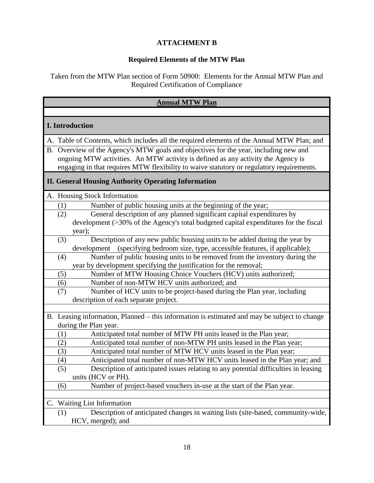# **ATTACHMENT B**

# **Required Elements of the MTW Plan**

Taken from the MTW Plan section of Form 50900: Elements for the Annual MTW Plan and Required Certification of Compliance

| <b>Annual MTW Plan</b>                                                                                                                                                                                                                                               |  |  |  |
|----------------------------------------------------------------------------------------------------------------------------------------------------------------------------------------------------------------------------------------------------------------------|--|--|--|
|                                                                                                                                                                                                                                                                      |  |  |  |
| <b>I.</b> Introduction                                                                                                                                                                                                                                               |  |  |  |
| A. Table of Contents, which includes all the required elements of the Annual MTW Plan; and                                                                                                                                                                           |  |  |  |
| B. Overview of the Agency's MTW goals and objectives for the year, including new and<br>ongoing MTW activities. An MTW activity is defined as any activity the Agency is<br>engaging in that requires MTW flexibility to waive statutory or regulatory requirements. |  |  |  |
| <b>II. General Housing Authority Operating Information</b>                                                                                                                                                                                                           |  |  |  |
| A. Housing Stock Information                                                                                                                                                                                                                                         |  |  |  |
| Number of public housing units at the beginning of the year;<br>(1)                                                                                                                                                                                                  |  |  |  |
| General description of any planned significant capital expenditures by<br>(2)<br>development (>30% of the Agency's total budgeted capital expenditures for the fiscal<br>year);                                                                                      |  |  |  |
| Description of any new public housing units to be added during the year by<br>(3)                                                                                                                                                                                    |  |  |  |
| development (specifying bedroom size, type, accessible features, if applicable);                                                                                                                                                                                     |  |  |  |
| Number of public housing units to be removed from the inventory during the<br>(4)                                                                                                                                                                                    |  |  |  |
| year by development specifying the justification for the removal;<br>Number of MTW Housing Choice Vouchers (HCV) units authorized;<br>(5)                                                                                                                            |  |  |  |
| Number of non-MTW HCV units authorized; and<br>(6)                                                                                                                                                                                                                   |  |  |  |
| Number of HCV units to be project-based during the Plan year, including<br>(7)<br>description of each separate project.                                                                                                                                              |  |  |  |
|                                                                                                                                                                                                                                                                      |  |  |  |
| B. Leasing information, Planned – this information is estimated and may be subject to change                                                                                                                                                                         |  |  |  |
| during the Plan year.<br>Anticipated total number of MTW PH units leased in the Plan year;<br>(1)                                                                                                                                                                    |  |  |  |
| Anticipated total number of non-MTW PH units leased in the Plan year;<br>(2)                                                                                                                                                                                         |  |  |  |
| Anticipated total number of MTW HCV units leased in the Plan year;<br>(3)                                                                                                                                                                                            |  |  |  |
| Anticipated total number of non-MTW HCV units leased in the Plan year; and<br>(4)                                                                                                                                                                                    |  |  |  |
| (5)<br>Description of anticipated issues relating to any potential difficulties in leasing<br>units (HCV or PH).                                                                                                                                                     |  |  |  |
| Number of project-based vouchers in-use at the start of the Plan year.<br>(6)                                                                                                                                                                                        |  |  |  |
|                                                                                                                                                                                                                                                                      |  |  |  |
| <b>Waiting List Information</b><br>C.                                                                                                                                                                                                                                |  |  |  |
| Description of anticipated changes in waiting lists (site-based, community-wide,<br>(1)                                                                                                                                                                              |  |  |  |
| HCV, merged); and                                                                                                                                                                                                                                                    |  |  |  |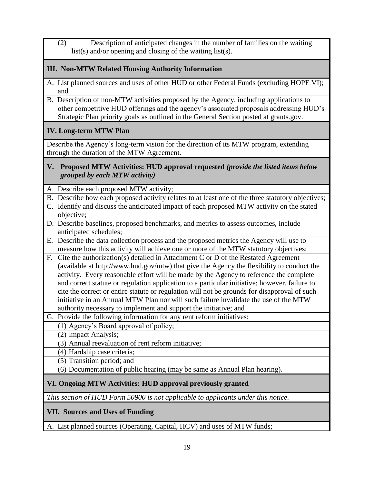(2) Description of anticipated changes in the number of families on the waiting list(s) and/or opening and closing of the waiting list(s).

# **III. Non-MTW Related Housing Authority Information**

- A. List planned sources and uses of other HUD or other Federal Funds (excluding HOPE VI); and
- B. Description of non-MTW activities proposed by the Agency, including applications to other competitive HUD offerings and the agency"s associated proposals addressing HUD"s Strategic Plan priority goals as outlined in the General Section posted at grants.gov.

# **IV. Long-term MTW Plan**

Describe the Agency's long-term vision for the direction of its MTW program, extending through the duration of the MTW Agreement.

#### **V. Proposed MTW Activities: HUD approval requested** *(provide the listed items below grouped by each MTW activity)*

A. Describe each proposed MTW activity;

- B. Describe how each proposed activity relates to at least one of the three statutory objectives;
- C. Identify and discuss the anticipated impact of each proposed MTW activity on the stated objective;
- D. Describe baselines, proposed benchmarks, and metrics to assess outcomes, include anticipated schedules;
- E. Describe the data collection process and the proposed metrics the Agency will use to measure how this activity will achieve one or more of the MTW statutory objectives;
- F. Cite the authorization(s) detailed in Attachment C or D of the Restated Agreement (available at http://www.hud.gov/mtw) that give the Agency the flexibility to conduct the activity. Every reasonable effort will be made by the Agency to reference the complete and correct statute or regulation application to a particular initiative; however, failure to cite the correct or entire statute or regulation will not be grounds for disapproval of such initiative in an Annual MTW Plan nor will such failure invalidate the use of the MTW authority necessary to implement and support the initiative; and
- G. Provide the following information for any rent reform initiatives:
	- (1) Agency"s Board approval of policy;
	- (2) Impact Analysis;
	- (3) Annual reevaluation of rent reform initiative;
	- (4) Hardship case criteria;
	- (5) Transition period; and
	- (6) Documentation of public hearing (may be same as Annual Plan hearing).

# **VI. Ongoing MTW Activities: HUD approval previously granted**

*This section of HUD Form 50900 is not applicable to applicants under this notice.*

# **VII. Sources and Uses of Funding**

A. List planned sources (Operating, Capital, HCV) and uses of MTW funds;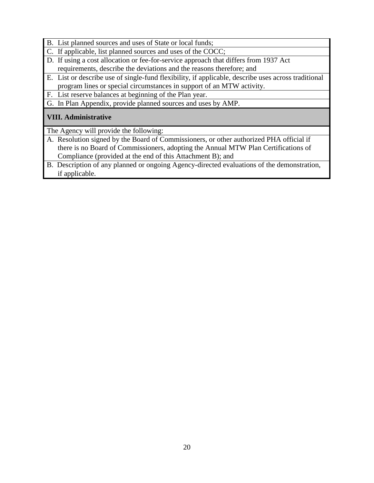- B. List planned sources and uses of State or local funds;
- C. If applicable, list planned sources and uses of the COCC;
- D. If using a cost allocation or fee-for-service approach that differs from 1937 Act requirements, describe the deviations and the reasons therefore; and
- E. List or describe use of single-fund flexibility, if applicable, describe uses across traditional program lines or special circumstances in support of an MTW activity.
- F. List reserve balances at beginning of the Plan year.

G. In Plan Appendix, provide planned sources and uses by AMP.

# **VIII. Administrative**

The Agency will provide the following:

- A. Resolution signed by the Board of Commissioners, or other authorized PHA official if there is no Board of Commissioners, adopting the Annual MTW Plan Certifications of Compliance (provided at the end of this Attachment B); and
- B. Description of any planned or ongoing Agency-directed evaluations of the demonstration, if applicable.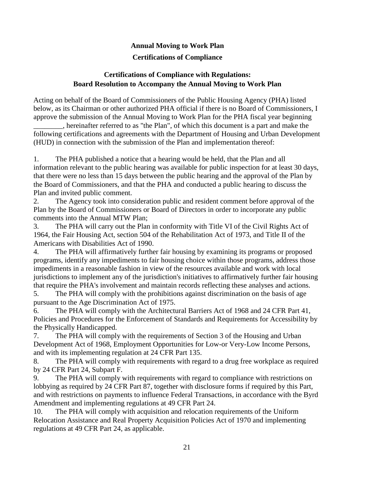# **Annual Moving to Work Plan**

# **Certifications of Compliance**

### **Certifications of Compliance with Regulations: Board Resolution to Accompany the Annual Moving to Work Plan**

Acting on behalf of the Board of Commissioners of the Public Housing Agency (PHA) listed below, as its Chairman or other authorized PHA official if there is no Board of Commissioners, I approve the submission of the Annual Moving to Work Plan for the PHA fiscal year beginning

\_\_\_\_\_\_\_\_, hereinafter referred to as "the Plan", of which this document is a part and make the following certifications and agreements with the Department of Housing and Urban Development (HUD) in connection with the submission of the Plan and implementation thereof:

1. The PHA published a notice that a hearing would be held, that the Plan and all information relevant to the public hearing was available for public inspection for at least 30 days, that there were no less than 15 days between the public hearing and the approval of the Plan by the Board of Commissioners, and that the PHA and conducted a public hearing to discuss the Plan and invited public comment.

2. The Agency took into consideration public and resident comment before approval of the Plan by the Board of Commissioners or Board of Directors in order to incorporate any public comments into the Annual MTW Plan;

3. The PHA will carry out the Plan in conformity with Title VI of the Civil Rights Act of 1964, the Fair Housing Act, section 504 of the Rehabilitation Act of 1973, and Title II of the Americans with Disabilities Act of 1990.

4. The PHA will affirmatively further fair housing by examining its programs or proposed programs, identify any impediments to fair housing choice within those programs, address those impediments in a reasonable fashion in view of the resources available and work with local jurisdictions to implement any of the jurisdiction's initiatives to affirmatively further fair housing that require the PHA's involvement and maintain records reflecting these analyses and actions.

5. The PHA will comply with the prohibitions against discrimination on the basis of age pursuant to the Age Discrimination Act of 1975.

6. The PHA will comply with the Architectural Barriers Act of 1968 and 24 CFR Part 41, Policies and Procedures for the Enforcement of Standards and Requirements for Accessibility by the Physically Handicapped.

7. The PHA will comply with the requirements of Section 3 of the Housing and Urban Development Act of 1968, Employment Opportunities for Low-or Very-Low Income Persons, and with its implementing regulation at 24 CFR Part 135.

8. The PHA will comply with requirements with regard to a drug free workplace as required by 24 CFR Part 24, Subpart F.

9. The PHA will comply with requirements with regard to compliance with restrictions on lobbying as required by 24 CFR Part 87, together with disclosure forms if required by this Part, and with restrictions on payments to influence Federal Transactions, in accordance with the Byrd Amendment and implementing regulations at 49 CFR Part 24.

10. The PHA will comply with acquisition and relocation requirements of the Uniform Relocation Assistance and Real Property Acquisition Policies Act of 1970 and implementing regulations at 49 CFR Part 24, as applicable.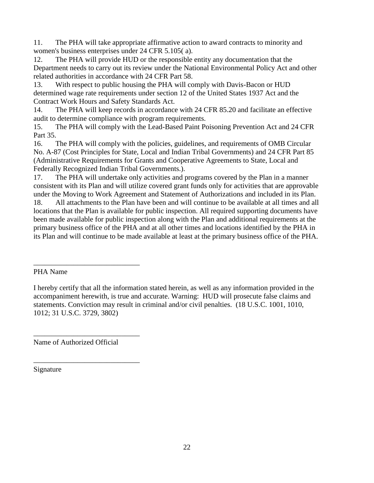11. The PHA will take appropriate affirmative action to award contracts to minority and women's business enterprises under 24 CFR 5.105( a).

12. The PHA will provide HUD or the responsible entity any documentation that the Department needs to carry out its review under the National Environmental Policy Act and other related authorities in accordance with 24 CFR Part 58.

13. With respect to public housing the PHA will comply with Davis-Bacon or HUD determined wage rate requirements under section 12 of the United States 1937 Act and the Contract Work Hours and Safety Standards Act.

14. The PHA will keep records in accordance with 24 CFR 85.20 and facilitate an effective audit to determine compliance with program requirements.

15. The PHA will comply with the Lead-Based Paint Poisoning Prevention Act and 24 CFR Part 35.

16. The PHA will comply with the policies, guidelines, and requirements of OMB Circular No. A-87 (Cost Principles for State, Local and Indian Tribal Governments) and 24 CFR Part 85 (Administrative Requirements for Grants and Cooperative Agreements to State, Local and Federally Recognized Indian Tribal Governments.).

17. The PHA will undertake only activities and programs covered by the Plan in a manner consistent with its Plan and will utilize covered grant funds only for activities that are approvable under the Moving to Work Agreement and Statement of Authorizations and included in its Plan.

18. All attachments to the Plan have been and will continue to be available at all times and all locations that the Plan is available for public inspection. All required supporting documents have been made available for public inspection along with the Plan and additional requirements at the primary business office of the PHA and at all other times and locations identified by the PHA in its Plan and will continue to be made available at least at the primary business office of the PHA.

Name of Authorized Official

\_\_\_\_\_\_\_\_\_\_\_\_\_\_\_\_\_\_\_\_\_\_\_\_\_\_\_\_\_

\_\_\_\_\_\_\_\_\_\_\_\_\_\_\_\_\_\_\_\_\_\_\_\_\_\_\_\_\_

\_\_\_\_\_\_\_\_\_\_\_\_\_\_\_\_\_\_\_\_\_\_\_\_\_\_\_\_\_

Signature

PHA Name

I hereby certify that all the information stated herein, as well as any information provided in the accompaniment herewith, is true and accurate. Warning: HUD will prosecute false claims and statements. Conviction may result in criminal and/or civil penalties. (18 U.S.C. 1001, 1010, 1012; 31 U.S.C. 3729, 3802)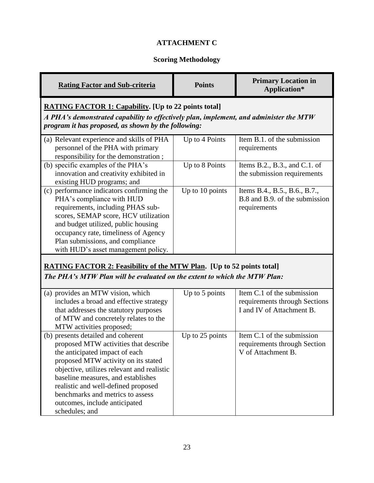# **ATTACHMENT C**

# **Scoring Methodology**

| <b>Rating Factor and Sub-criteria</b>                                                                                                                                                                                                                                                                                                                                  | <b>Points</b>   | <b>Primary Location in</b><br>Application*                                               |  |
|------------------------------------------------------------------------------------------------------------------------------------------------------------------------------------------------------------------------------------------------------------------------------------------------------------------------------------------------------------------------|-----------------|------------------------------------------------------------------------------------------|--|
| <b>RATING FACTOR 1: Capability.</b> [Up to 22 points total]<br>A PHA's demonstrated capability to effectively plan, implement, and administer the MTW<br>program it has proposed, as shown by the following:                                                                                                                                                           |                 |                                                                                          |  |
| (a) Relevant experience and skills of PHA<br>personnel of the PHA with primary<br>responsibility for the demonstration;                                                                                                                                                                                                                                                | Up to 4 Points  | Item B.1. of the submission<br>requirements                                              |  |
| (b) specific examples of the PHA's<br>innovation and creativity exhibited in<br>existing HUD programs; and                                                                                                                                                                                                                                                             | Up to 8 Points  | Items B.2., B.3., and C.1. of<br>the submission requirements                             |  |
| (c) performance indicators confirming the<br>PHA's compliance with HUD<br>requirements, including PHAS sub-<br>scores, SEMAP score, HCV utilization<br>and budget utilized, public housing<br>occupancy rate, timeliness of Agency<br>Plan submissions, and compliance<br>with HUD's asset management policy.                                                          | Up to 10 points | Items B.4., B.5., B.6., B.7.,<br>B.8 and B.9. of the submission<br>requirements          |  |
| <b>RATING FACTOR 2: Feasibility of the MTW Plan.</b> [Up to 52 points total]<br>The PHA's MTW Plan will be evaluated on the extent to which the MTW Plan:                                                                                                                                                                                                              |                 |                                                                                          |  |
| (a) provides an MTW vision, which<br>includes a broad and effective strategy<br>that addresses the statutory purposes<br>of MTW and concretely relates to the<br>MTW activities proposed;                                                                                                                                                                              | Up to 5 points  | Item C.1 of the submission<br>requirements through Sections<br>I and IV of Attachment B. |  |
| (b) presents detailed and coherent<br>proposed MTW activities that describe<br>the anticipated impact of each<br>proposed MTW activity on its stated<br>objective, utilizes relevant and realistic<br>baseline measures, and establishes<br>realistic and well-defined proposed<br>benchmarks and metrics to assess<br>outcomes, include anticipated<br>schedules; and | Up to 25 points | Item C.1 of the submission<br>requirements through Section<br>V of Attachment B.         |  |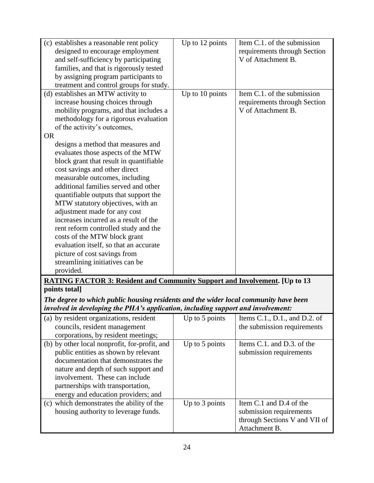| (c) establishes a reasonable rent policy                                                           | Up to 12 points | Item $C.1$ . of the submission |  |
|----------------------------------------------------------------------------------------------------|-----------------|--------------------------------|--|
| designed to encourage employment                                                                   |                 | requirements through Section   |  |
| and self-sufficiency by participating                                                              |                 | V of Attachment B.             |  |
| families, and that is rigorously tested                                                            |                 |                                |  |
| by assigning program participants to                                                               |                 |                                |  |
|                                                                                                    |                 |                                |  |
| treatment and control groups for study.                                                            |                 |                                |  |
| (d) establishes an MTW activity to                                                                 | Up to 10 points | Item C.1. of the submission    |  |
| increase housing choices through                                                                   |                 | requirements through Section   |  |
| mobility programs, and that includes a                                                             |                 | V of Attachment B.             |  |
| methodology for a rigorous evaluation                                                              |                 |                                |  |
| of the activity's outcomes,                                                                        |                 |                                |  |
| <b>OR</b>                                                                                          |                 |                                |  |
| designs a method that measures and                                                                 |                 |                                |  |
| evaluates those aspects of the MTW                                                                 |                 |                                |  |
| block grant that result in quantifiable                                                            |                 |                                |  |
| cost savings and other direct                                                                      |                 |                                |  |
| measurable outcomes, including                                                                     |                 |                                |  |
| additional families served and other                                                               |                 |                                |  |
| quantifiable outputs that support the                                                              |                 |                                |  |
|                                                                                                    |                 |                                |  |
| MTW statutory objectives, with an                                                                  |                 |                                |  |
| adjustment made for any cost                                                                       |                 |                                |  |
| increases incurred as a result of the                                                              |                 |                                |  |
| rent reform controlled study and the                                                               |                 |                                |  |
| costs of the MTW block grant                                                                       |                 |                                |  |
| evaluation itself, so that an accurate                                                             |                 |                                |  |
| picture of cost savings from                                                                       |                 |                                |  |
| streamlining initiatives can be                                                                    |                 |                                |  |
| provided.                                                                                          |                 |                                |  |
|                                                                                                    |                 |                                |  |
| <b>RATING FACTOR 3: Resident and Community Support and Involvement.</b> [Up to 13<br>points total] |                 |                                |  |
| The degree to which public housing residents and the wider local community have been               |                 |                                |  |
|                                                                                                    |                 |                                |  |
| involved in developing the PHA's application, including support and involvement:                   |                 |                                |  |
| (a) by resident organizations, resident                                                            | Up to 5 points  | Items C.1., D.1., and D.2. of  |  |
| councils, resident management                                                                      |                 | the submission requirements    |  |
| corporations, by resident meetings;                                                                |                 |                                |  |
| (b) by other local nonprofit, for-profit, and                                                      | Up to 5 points  | Items C.1. and D.3. of the     |  |
| public entities as shown by relevant                                                               |                 | submission requirements        |  |
| documentation that demonstrates the                                                                |                 |                                |  |
| nature and depth of such support and                                                               |                 |                                |  |
| involvement. These can include                                                                     |                 |                                |  |
| partnerships with transportation,                                                                  |                 |                                |  |
|                                                                                                    |                 |                                |  |
| energy and education providers; and                                                                |                 |                                |  |
| (c) which demonstrates the ability of the                                                          | Up to 3 points  | Item C.1 and D.4 of the        |  |
| housing authority to leverage funds.                                                               |                 | submission requirements        |  |
|                                                                                                    |                 | through Sections V and VII of  |  |
|                                                                                                    |                 | Attachment B.                  |  |